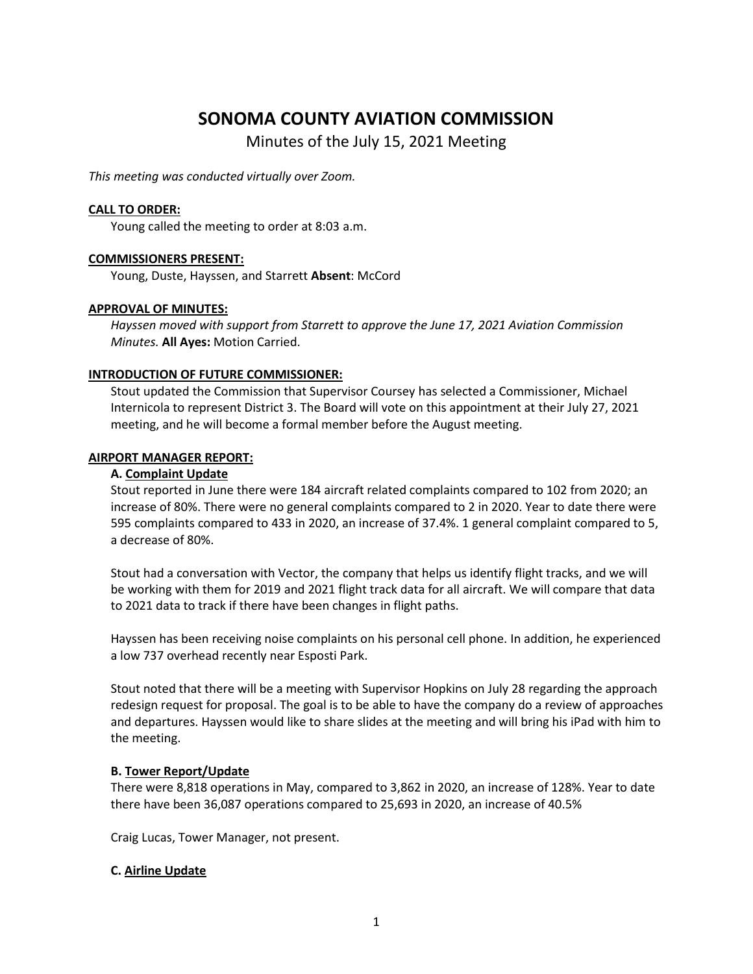# **SONOMA COUNTY AVIATION COMMISSION**

Minutes of the July 15, 2021 Meeting

*This meeting was conducted virtually over Zoom.* 

### **CALL TO ORDER:**

Young called the meeting to order at 8:03 a.m.

### **COMMISSIONERS PRESENT:**

Young, Duste, Hayssen, and Starrett **Absent**: McCord

### **APPROVAL OF MINUTES:**

*Hayssen moved with support from Starrett to approve the June 17, 2021 Aviation Commission Minutes.* **All Ayes:** Motion Carried.

### **INTRODUCTION OF FUTURE COMMISSIONER:**

Stout updated the Commission that Supervisor Coursey has selected a Commissioner, Michael Internicola to represent District 3. The Board will vote on this appointment at their July 27, 2021 meeting, and he will become a formal member before the August meeting.

### **AIRPORT MANAGER REPORT:**

### **A. Complaint Update**

Stout reported in June there were 184 aircraft related complaints compared to 102 from 2020; an increase of 80%. There were no general complaints compared to 2 in 2020. Year to date there were 595 complaints compared to 433 in 2020, an increase of 37.4%. 1 general complaint compared to 5, a decrease of 80%.

Stout had a conversation with Vector, the company that helps us identify flight tracks, and we will be working with them for 2019 and 2021 flight track data for all aircraft. We will compare that data to 2021 data to track if there have been changes in flight paths.

Hayssen has been receiving noise complaints on his personal cell phone. In addition, he experienced a low 737 overhead recently near Esposti Park.

Stout noted that there will be a meeting with Supervisor Hopkins on July 28 regarding the approach redesign request for proposal. The goal is to be able to have the company do a review of approaches and departures. Hayssen would like to share slides at the meeting and will bring his iPad with him to the meeting.

# **B. Tower Report/Update**

There were 8,818 operations in May, compared to 3,862 in 2020, an increase of 128%. Year to date there have been 36,087 operations compared to 25,693 in 2020, an increase of 40.5%

Craig Lucas, Tower Manager, not present.

# **C. Airline Update**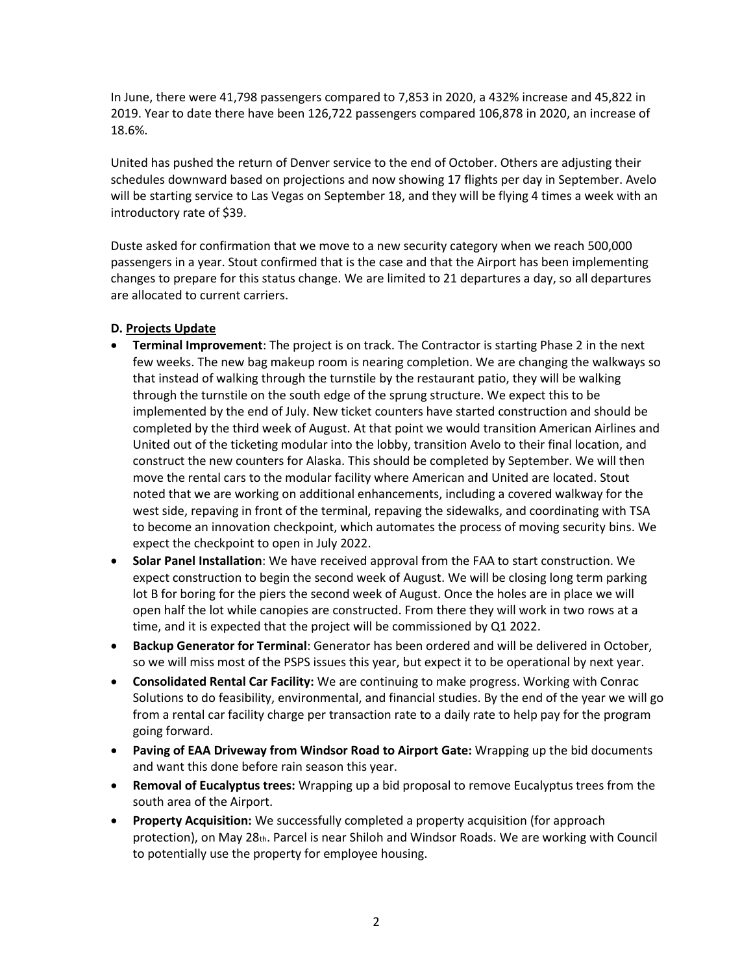In June, there were 41,798 passengers compared to 7,853 in 2020, a 432% increase and 45,822 in 2019. Year to date there have been 126,722 passengers compared 106,878 in 2020, an increase of 18.6%.

United has pushed the return of Denver service to the end of October. Others are adjusting their schedules downward based on projections and now showing 17 flights per day in September. Avelo will be starting service to Las Vegas on September 18, and they will be flying 4 times a week with an introductory rate of \$39.

Duste asked for confirmation that we move to a new security category when we reach 500,000 passengers in a year. Stout confirmed that is the case and that the Airport has been implementing changes to prepare for this status change. We are limited to 21 departures a day, so all departures are allocated to current carriers.

# **D. Projects Update**

- **Terminal Improvement**: The project is on track. The Contractor is starting Phase 2 in the next few weeks. The new bag makeup room is nearing completion. We are changing the walkways so that instead of walking through the turnstile by the restaurant patio, they will be walking through the turnstile on the south edge of the sprung structure. We expect this to be implemented by the end of July. New ticket counters have started construction and should be completed by the third week of August. At that point we would transition American Airlines and United out of the ticketing modular into the lobby, transition Avelo to their final location, and construct the new counters for Alaska. This should be completed by September. We will then move the rental cars to the modular facility where American and United are located. Stout noted that we are working on additional enhancements, including a covered walkway for the west side, repaving in front of the terminal, repaving the sidewalks, and coordinating with TSA to become an innovation checkpoint, which automates the process of moving security bins. We expect the checkpoint to open in July 2022.
- **Solar Panel Installation**: We have received approval from the FAA to start construction. We expect construction to begin the second week of August. We will be closing long term parking lot B for boring for the piers the second week of August. Once the holes are in place we will open half the lot while canopies are constructed. From there they will work in two rows at a time, and it is expected that the project will be commissioned by Q1 2022.
- **Backup Generator for Terminal**: Generator has been ordered and will be delivered in October, so we will miss most of the PSPS issues this year, but expect it to be operational by next year.
- **Consolidated Rental Car Facility:** We are continuing to make progress. Working with Conrac Solutions to do feasibility, environmental, and financial studies. By the end of the year we will go from a rental car facility charge per transaction rate to a daily rate to help pay for the program going forward.
- **Paving of EAA Driveway from Windsor Road to Airport Gate:** Wrapping up the bid documents and want this done before rain season this year.
- **Removal of Eucalyptus trees:** Wrapping up a bid proposal to remove Eucalyptus trees from the south area of the Airport.
- **Property Acquisition:** We successfully completed a property acquisition (for approach protection), on May 28th. Parcel is near Shiloh and Windsor Roads. We are working with Council to potentially use the property for employee housing.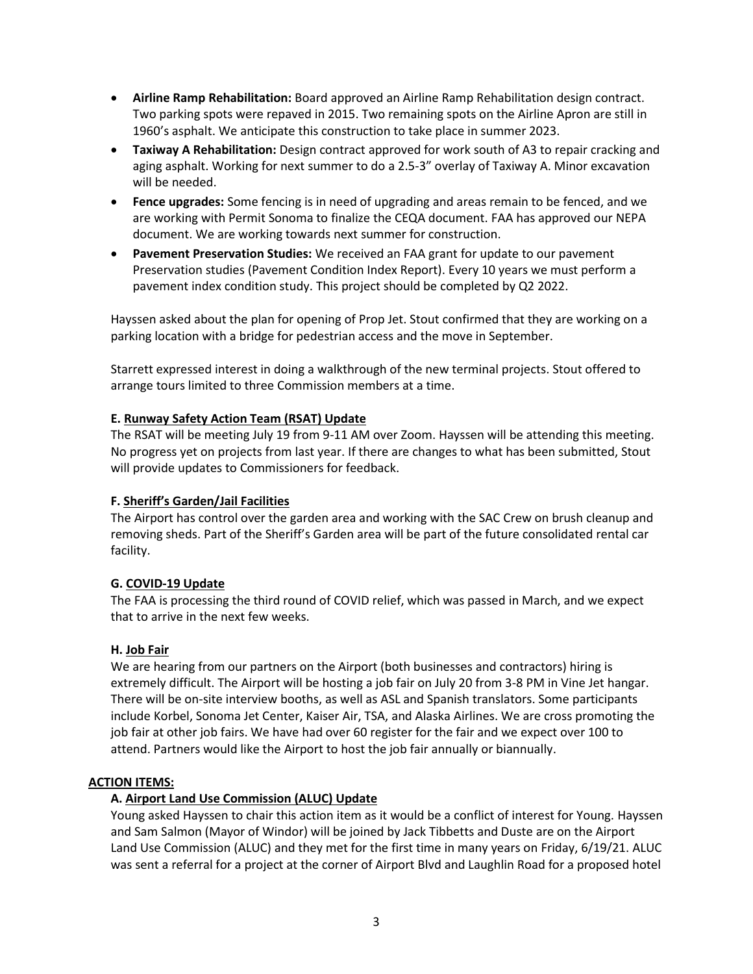- **Airline Ramp Rehabilitation:** Board approved an Airline Ramp Rehabilitation design contract. Two parking spots were repaved in 2015. Two remaining spots on the Airline Apron are still in 1960's asphalt. We anticipate this construction to take place in summer 2023.
- **Taxiway A Rehabilitation:** Design contract approved for work south of A3 to repair cracking and aging asphalt. Working for next summer to do a 2.5-3" overlay of Taxiway A. Minor excavation will be needed.
- **Fence upgrades:** Some fencing is in need of upgrading and areas remain to be fenced, and we are working with Permit Sonoma to finalize the CEQA document. FAA has approved our NEPA document. We are working towards next summer for construction.
- **Pavement Preservation Studies:** We received an FAA grant for update to our pavement Preservation studies (Pavement Condition Index Report). Every 10 years we must perform a pavement index condition study. This project should be completed by Q2 2022.

Hayssen asked about the plan for opening of Prop Jet. Stout confirmed that they are working on a parking location with a bridge for pedestrian access and the move in September.

Starrett expressed interest in doing a walkthrough of the new terminal projects. Stout offered to arrange tours limited to three Commission members at a time.

# **E. Runway Safety Action Team (RSAT) Update**

The RSAT will be meeting July 19 from 9-11 AM over Zoom. Hayssen will be attending this meeting. No progress yet on projects from last year. If there are changes to what has been submitted, Stout will provide updates to Commissioners for feedback.

# **F. Sheriff's Garden/Jail Facilities**

The Airport has control over the garden area and working with the SAC Crew on brush cleanup and removing sheds. Part of the Sheriff's Garden area will be part of the future consolidated rental car facility.

# **G. COVID-19 Update**

The FAA is processing the third round of COVID relief, which was passed in March, and we expect that to arrive in the next few weeks.

# **H. Job Fair**

We are hearing from our partners on the Airport (both businesses and contractors) hiring is extremely difficult. The Airport will be hosting a job fair on July 20 from 3-8 PM in Vine Jet hangar. There will be on-site interview booths, as well as ASL and Spanish translators. Some participants include Korbel, Sonoma Jet Center, Kaiser Air, TSA, and Alaska Airlines. We are cross promoting the job fair at other job fairs. We have had over 60 register for the fair and we expect over 100 to attend. Partners would like the Airport to host the job fair annually or biannually.

# **ACTION ITEMS:**

# **A. Airport Land Use Commission (ALUC) Update**

Young asked Hayssen to chair this action item as it would be a conflict of interest for Young. Hayssen and Sam Salmon (Mayor of Windor) will be joined by Jack Tibbetts and Duste are on the Airport Land Use Commission (ALUC) and they met for the first time in many years on Friday, 6/19/21. ALUC was sent a referral for a project at the corner of Airport Blvd and Laughlin Road for a proposed hotel